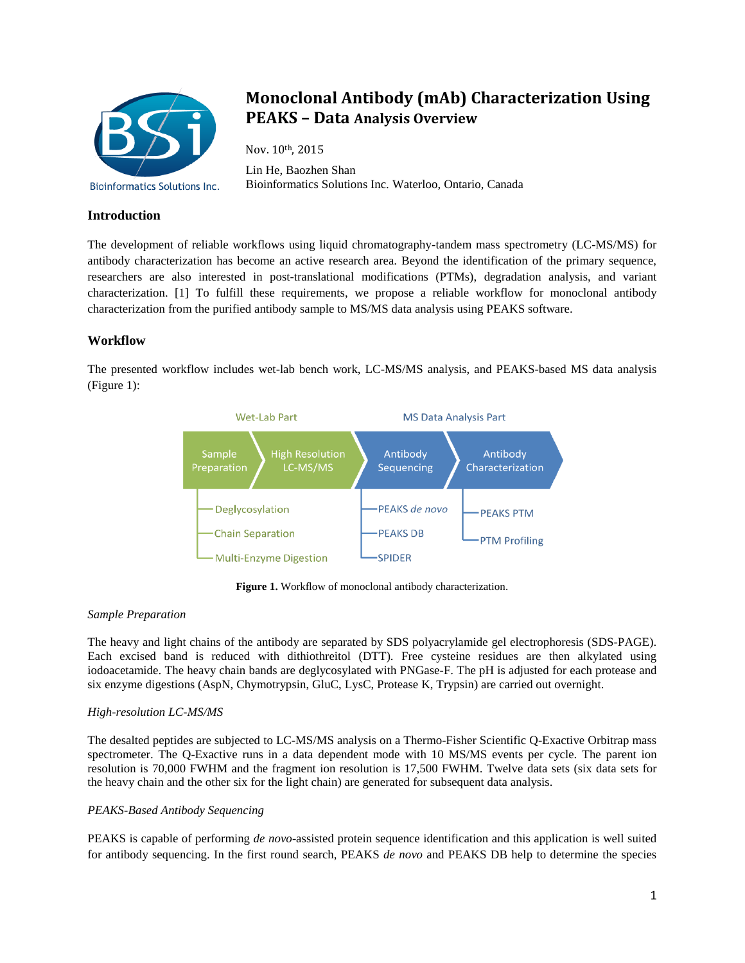

# **Monoclonal Antibody (mAb) Characterization Using PEAKS – Data Analysis Overview**

Nov. 10th, 2015 Lin He, Baozhen Shan Bioinformatics Solutions Inc. Waterloo, Ontario, Canada

# **Introduction**

The development of reliable workflows using liquid chromatography-tandem mass spectrometry (LC-MS/MS) for antibody characterization has become an active research area. Beyond the identification of the primary sequence, researchers are also interested in post-translational modifications (PTMs), degradation analysis, and variant characterization. [1] To fulfill these requirements, we propose a reliable workflow for monoclonal antibody characterization from the purified antibody sample to MS/MS data analysis using PEAKS software.

# **Workflow**

The presented workflow includes wet-lab bench work, LC-MS/MS analysis, and PEAKS-based MS data analysis (Figure 1):



**Figure 1.** Workflow of monoclonal antibody characterization.

# *Sample Preparation*

The heavy and light chains of the antibody are separated by SDS polyacrylamide gel electrophoresis (SDS-PAGE). Each excised band is reduced with dithiothreitol (DTT). Free cysteine residues are then alkylated using iodoacetamide. The heavy chain bands are deglycosylated with PNGase-F. The pH is adjusted for each protease and six enzyme digestions (AspN, Chymotrypsin, GluC, LysC, Protease K, Trypsin) are carried out overnight.

# *High-resolution LC-MS/MS*

The desalted peptides are subjected to LC-MS/MS analysis on a Thermo-Fisher Scientific Q-Exactive Orbitrap mass spectrometer. The Q-Exactive runs in a data dependent mode with 10 MS/MS events per cycle. The parent ion resolution is 70,000 FWHM and the fragment ion resolution is 17,500 FWHM. Twelve data sets (six data sets for the heavy chain and the other six for the light chain) are generated for subsequent data analysis.

# *PEAKS-Based Antibody Sequencing*

PEAKS is capable of performing *de novo*-assisted protein sequence identification and this application is well suited for antibody sequencing. In the first round search, PEAKS *de novo* and PEAKS DB help to determine the species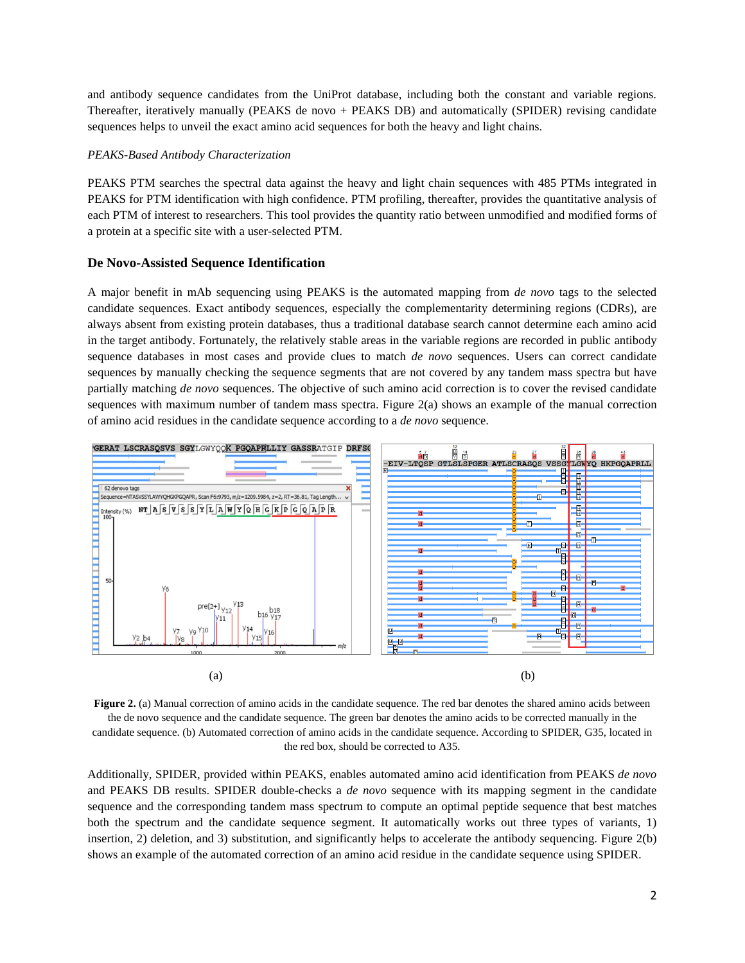and antibody sequence candidates from the UniProt database, including both the constant and variable regions. Thereafter, iteratively manually (PEAKS de novo + PEAKS DB) and automatically (SPIDER) revising candidate sequences helps to unveil the exact amino acid sequences for both the heavy and light chains.

#### *PEAKS-Based Antibody Characterization*

PEAKS PTM searches the spectral data against the heavy and light chain sequences with 485 PTMs integrated in PEAKS for PTM identification with high confidence. PTM profiling, thereafter, provides the quantitative analysis of each PTM of interest to researchers. This tool provides the quantity ratio between unmodified and modified forms of a protein at a specific site with a user-selected PTM.

#### **De Novo-Assisted Sequence Identification**

A major benefit in mAb sequencing using PEAKS is the automated mapping from *de novo* tags to the selected candidate sequences. Exact antibody sequences, especially the complementarity determining regions (CDRs), are always absent from existing protein databases, thus a traditional database search cannot determine each amino acid in the target antibody. Fortunately, the relatively stable areas in the variable regions are recorded in public antibody sequence databases in most cases and provide clues to match *de novo* sequences. Users can correct candidate sequences by manually checking the sequence segments that are not covered by any tandem mass spectra but have partially matching *de novo* sequences. The objective of such amino acid correction is to cover the revised candidate sequences with maximum number of tandem mass spectra. Figure 2(a) shows an example of the manual correction of amino acid residues in the candidate sequence according to a *de novo* sequence.



**Figure 2.** (a) Manual correction of amino acids in the candidate sequence. The red bar denotes the shared amino acids between the de novo sequence and the candidate sequence. The green bar denotes the amino acids to be corrected manually in the candidate sequence. (b) Automated correction of amino acids in the candidate sequence. According to SPIDER, G35, located in the red box, should be corrected to A35.

Additionally, SPIDER, provided within PEAKS, enables automated amino acid identification from PEAKS *de novo* and PEAKS DB results. SPIDER double-checks a *de novo* sequence with its mapping segment in the candidate sequence and the corresponding tandem mass spectrum to compute an optimal peptide sequence that best matches both the spectrum and the candidate sequence segment. It automatically works out three types of variants, 1) insertion, 2) deletion, and 3) substitution, and significantly helps to accelerate the antibody sequencing. Figure 2(b) shows an example of the automated correction of an amino acid residue in the candidate sequence using SPIDER.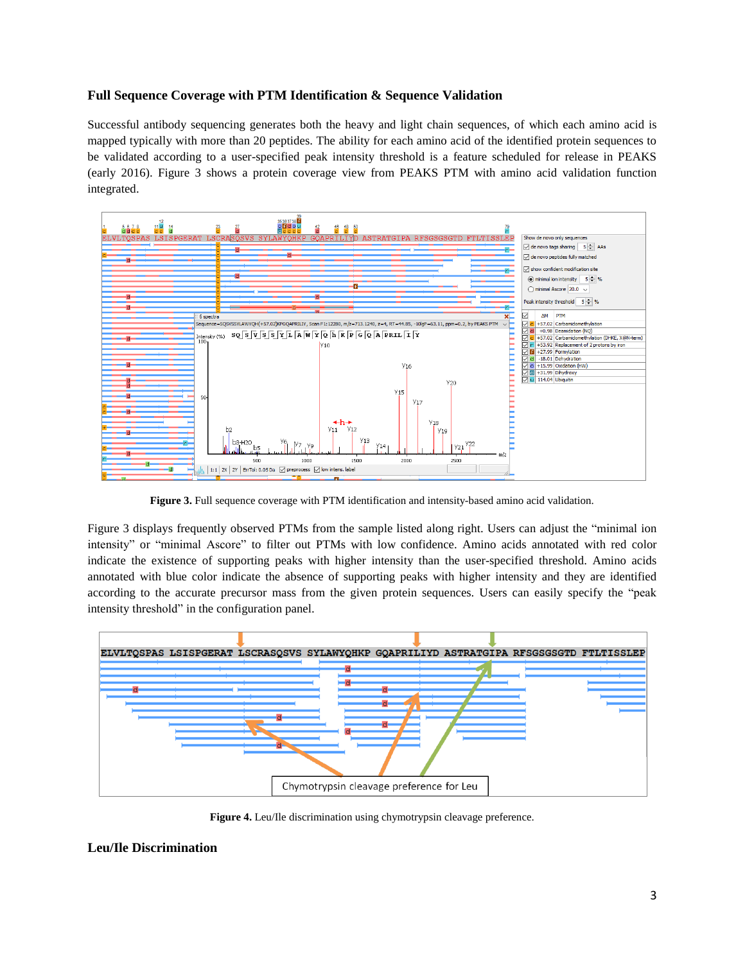### **Full Sequence Coverage with PTM Identification & Sequence Validation**

Successful antibody sequencing generates both the heavy and light chain sequences, of which each amino acid is mapped typically with more than 20 peptides. The ability for each amino acid of the identified protein sequences to be validated according to a user-specified peak intensity threshold is a feature scheduled for release in PEAKS (early 2016). Figure 3 shows a protein coverage view from PEAKS PTM with amino acid validation function integrated.



**Figure 3.** Full sequence coverage with PTM identification and intensity-based amino acid validation.

Figure 3 displays frequently observed PTMs from the sample listed along right. Users can adjust the "minimal ion intensity" or "minimal Ascore" to filter out PTMs with low confidence. Amino acids annotated with red color indicate the existence of supporting peaks with higher intensity than the user-specified threshold. Amino acids annotated with blue color indicate the absence of supporting peaks with higher intensity and they are identified according to the accurate precursor mass from the given protein sequences. Users can easily specify the "peak intensity threshold" in the configuration panel.



**Figure 4.** Leu/Ile discrimination using chymotrypsin cleavage preference.

### **Leu/Ile Discrimination**